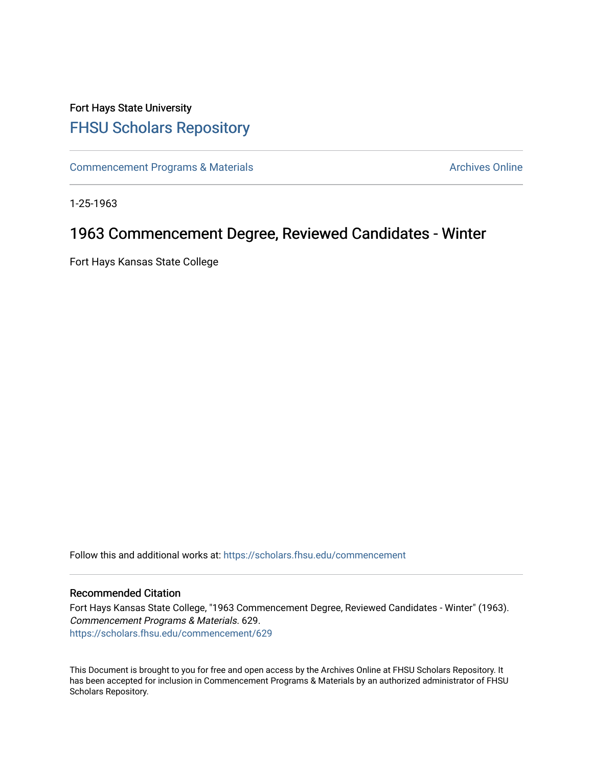## Fort Hays State University [FHSU Scholars Repository](https://scholars.fhsu.edu/)

[Commencement Programs & Materials](https://scholars.fhsu.edu/commencement) **Archives Online** Archives Online

1-25-1963

## 1963 Commencement Degree, Reviewed Candidates - Winter

Fort Hays Kansas State College

Follow this and additional works at: [https://scholars.fhsu.edu/commencement](https://scholars.fhsu.edu/commencement?utm_source=scholars.fhsu.edu%2Fcommencement%2F629&utm_medium=PDF&utm_campaign=PDFCoverPages)

## Recommended Citation

Fort Hays Kansas State College, "1963 Commencement Degree, Reviewed Candidates - Winter" (1963). Commencement Programs & Materials. 629. [https://scholars.fhsu.edu/commencement/629](https://scholars.fhsu.edu/commencement/629?utm_source=scholars.fhsu.edu%2Fcommencement%2F629&utm_medium=PDF&utm_campaign=PDFCoverPages)

This Document is brought to you for free and open access by the Archives Online at FHSU Scholars Repository. It has been accepted for inclusion in Commencement Programs & Materials by an authorized administrator of FHSU Scholars Repository.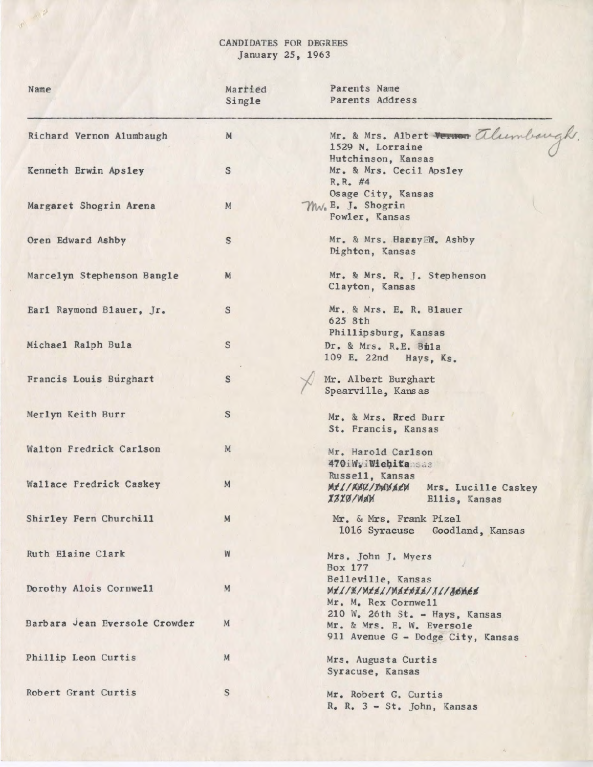## CANDIDATES FOR DEGREES January 25, 1963

WAP

| Name                          | Married<br>Single | Parents Name<br>Parents Address                                                                      |
|-------------------------------|-------------------|------------------------------------------------------------------------------------------------------|
| Richard Vernon Alumbaugh      | M                 | Mr. & Mrs. Albert Vernon alumbaugh<br>1529 N. Lorraine                                               |
| Kenneth Erwin Apsley          | S                 | Hutchinson, Kansas<br>Mr. & Mrs. Cecil Apsley<br>$R_e R_e$ #4                                        |
| Margaret Shogrin Arena        | M                 | Osage City, Kansas<br>Mw. E. J. Shogrin<br>Fowler, Kansas                                            |
| Oren Edward Ashby             | S                 | Mr. & Mrs. HarnyEW. Ashby<br>Dighton, Kansas                                                         |
| Marcelyn Stephenson Bangle    | M                 | Mr. & Mrs. R. J. Stephenson<br>Clayton, Kansas                                                       |
| Earl Raymond Blauer, Jr.      | S                 | Mr. & Mrs. E. R. Blauer<br>625 8th<br>Phillipsburg, Kansas                                           |
| Michael Ralph Bula            | $\mathbb S$       | Dr. & Mrs. R.E. Bila<br>109 E. 22nd Hays, Ks.                                                        |
| Francis Louis Burghart        | s                 | Mr. Albert Burghart<br>Spearville, Kansas                                                            |
| Merlyn Keith Burr             | S                 | Mr. & Mrs. Rred Burr<br>St. Francis, Kansas                                                          |
| Walton Fredrick Carlson       | M                 | Mr. Harold Carlson<br>470iWyiWiebitansas                                                             |
| Wallace Fredrick Caskey       | M                 | Russell, Kansas<br>MIL/ABC/DUBACH<br>Mrs. Lucille Caskey<br>X3X0/WAM<br>Ellis, Kansas                |
| Shirley Fern Churchill        | M                 | Mr. & Mrs. Frank Pizel<br>1016 Syracuse Goodland, Kansas                                             |
| Ruth Elaine Clark             | W                 | Mrs. John J. Myers<br>Box 177                                                                        |
| Dorothy Alois Cornwell        | M                 | Belleville, Kansas<br>Mtl/X/Mttl/Mattid/1l/16nes<br>Mr. M. Rex Cornwell                              |
| Barbara Jean Eversole Crowder | M                 | $210$ W. $26th$ St. - Hays, Kansas<br>Mr. & Mrs. E. W. Eversole<br>911 Avenue G - Dodge City, Kansas |
| Phillip Leon Curtis           | M                 | Mrs. Augusta Curtis<br>Syracuse, Kansas                                                              |
| Robert Grant Curtis           | $\mathbf S$       | Mr. Robert G. Curtis<br>R. R. 3 - St. John, Kansas                                                   |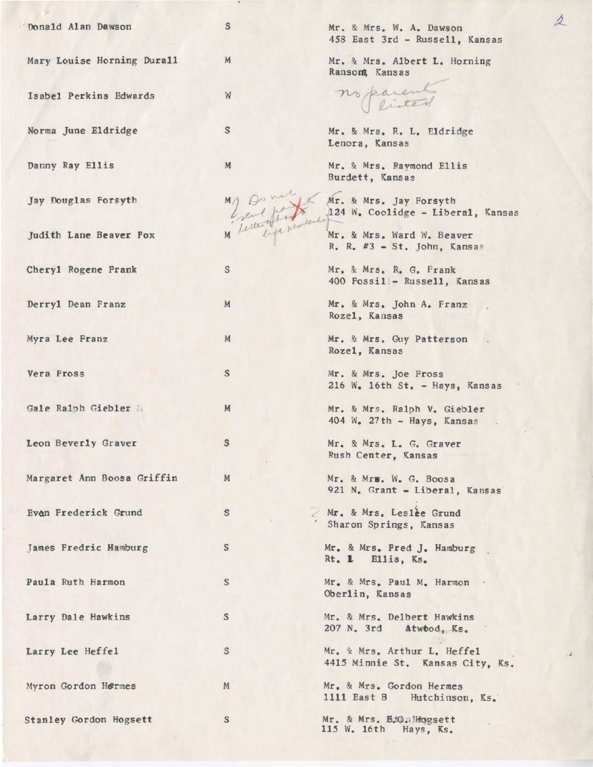| Donald Alan Dawson         | $\mathbb S$               | Mr. & Mrs. W. A. Dawson<br>458 East 3rd - Russell, Kansas                           |
|----------------------------|---------------------------|-------------------------------------------------------------------------------------|
| Mary Louise Horning Durall | M                         | Mr. & Mrs. Albert L. Horning<br>Ransom, Kansas                                      |
| Isabel Perkins Edwards     | W                         | no parents                                                                          |
| Norma June Eldridge        | $\boldsymbol{\mathsf{S}}$ | Mr. & Mrs. R. L. Eldridge<br>Lenora, Kansas                                         |
| Danny Ray Ellis            | M                         | Mr. & Mrs. Raymond Ellis                                                            |
| Jay Douglas Forsyth        |                           | M) On Work Mr. & Mrs. Jay Forsyth<br>Collect of the Mrs. Coolidge - Liberal, Kansas |
| Judith Lane Beaver Fox     |                           | $R_$ . $R_$ . $#3$ – St. John, Kansas                                               |
| Cheryl Rogene Frank        | S                         | Mr. & Mrs. R. G. Frank<br>400 Fossil - Russell, Kansas                              |
| Derryl Dean Franz          | M                         | Mr. & Mrs. John A. Franz<br>Rozel, Kansas                                           |
| Myra Lee Franz             | M                         | Mr. & Mrs. Guy Patterson<br>Rozel, Kansas                                           |
| Vera Fross                 | S                         | Mr. & Mrs. Joe Fross<br>216 W. 16th St. - Hays, Kansas                              |
| Gale Ralph Giebler         | M                         | Mr. & Mrs. Ralph V. Giebler<br>404 $W_e$ 27th - Hays, Kansas                        |
| Leon Beverly Graver        | s                         | Mr. & Mrs. L. G. Graver<br>Rush Center, Kansas                                      |
| Margaret Ann Boosa Griffin | M                         | Mr. & Mrs. W. G. Boosa<br>921 N. Grant - Liberal, Kansas                            |
| Evan Frederick Grund       | S                         | Mr. & Mrs. Leslee Grund<br>Sharon Springs, Kansas                                   |
| James Fredric Hamburg      | S                         | Mr. & Mrs. Fred J. Hamburg<br>Rt. 1 Ellis, Ks.                                      |
| Paula Ruth Harmon          | S                         | Mr. & Mrs. Paul M. Harmon .<br>Oberlin, Kansas                                      |
| Larry Dale Hawkins         | $\mathbb S$               | Mr. & Mrs. Delbert Hawkins<br>207 N. 3rd Atwood, Ks.                                |
| Larry Lee Heffel           | S                         | Mr. & Mrs. Arthur L. Heffel<br>4415 Minnie St. Kansas City, Ks.                     |
| Myron Gordon Hermes        | M                         | Mr. & Mrs. Gordon Hermes<br>1111 East B Hutchinson, Ks.                             |
| Stanley Gordon Hogsett     | S                         | Mr. & Mrs. B.tG. Hogsett<br>115 W. 16th Hays, Ks.                                   |

 $\Delta$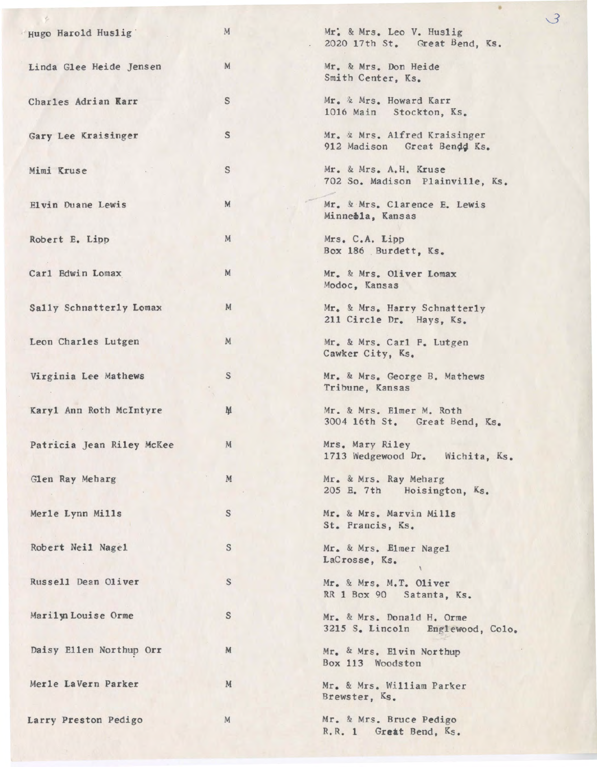| Hugo Harold Huslig        | M           | Mr. & Mrs. Leo V. Huslig<br>2020 17th St. Great Bend, Ks.     |
|---------------------------|-------------|---------------------------------------------------------------|
| Linda Glee Heide Jensen   | M           | Mr. & Mrs. Don Heide<br>Smith Center, Ks.                     |
| Charles Adrian Karr       | $\mathbb S$ | Mr. & Mrs. Howard Karr<br>1016 Main Stockton, Ks.             |
| Gary Lee Kraisinger       | $\mathbb S$ | Mr. & Mrs. Alfred Kraisinger<br>912 Madison Great Bendd Ks.   |
| Mimi Kruse                | S           | Mr. & Mrs. A.H. Kruse<br>702 So. Madison Plainville, Ks.      |
| Elvin Duane Lewis         | M           | Mr. & Mrs. Clarence E. Lewis<br>Minnebla, Kansas              |
| Robert E. Lipp            | M           | Mrs. C.A. Lipp<br>Box 186 Burdett, Ks.                        |
| Carl Edwin Lomax          | M           | Mr. & Mrs. Oliver Lomax<br>Modoc, Kansas                      |
| Sally Schnatterly Lomax   | M           | Mr. & Mrs. Harry Schnatterly<br>211 Circle Dr. Hays, Ks.      |
| Leon Charles Lutgen       | M           | Mr. & Mrs. Carl F. Lutgen<br>Cawker City, Ks.                 |
| Virginia Lee Mathews      | $\mathbb S$ | Mr. & Mrs. George B. Mathews<br>Tribune, Kansas               |
| Karyl Ann Roth McIntyre   | M           | Mr. & Mrs. Elmer M. Roth<br>3004 16th St. Great Bend, Ks.     |
| Patricia Jean Riley McKee | M           | Mrs. Mary Riley<br>1713 Wedgewood Dr. Wichita, Ks.            |
| Glen Ray Meharg           | ${\bf M}$   | Mr. & Mrs. Ray Meharg<br>205 E. 7th Hoisington, Ks.           |
| Merle Lynn Mills          | $\mathbb S$ | Mr. & Mrs. Marvin Mills<br>St. Francis, Ks.                   |
| Robert Neil Nagel         | $\mathbf S$ | Mr. & Mrs. Elmer Nagel<br>LaCrosse, Ks.                       |
| Russell Dean Oliver       | $\mathbb S$ | Mr. & Mrs. M.T. Oliver<br>RR 1 Box 90 Satanta, Ks.            |
| Marilyn Louise Orme       | $\mathbb S$ | Mr. & Mrs. Donald H. Orme<br>3215 S. Lincoln Englewood, Colo. |
| Daisy Ellen Northup Orr   | M           | Mr. & Mrs. Elvin Northup<br>Box 113 Woodston                  |
| Merle LaVern Parker       | M           | Mr. & Mrs. William Parker<br>Brewster, Ks.                    |
| Larry Preston Pedigo      | M           | Mr. & Mrs. Bruce Pedigo<br>R.R. 1 Great Bend, Ks.             |

 $\overline{3}$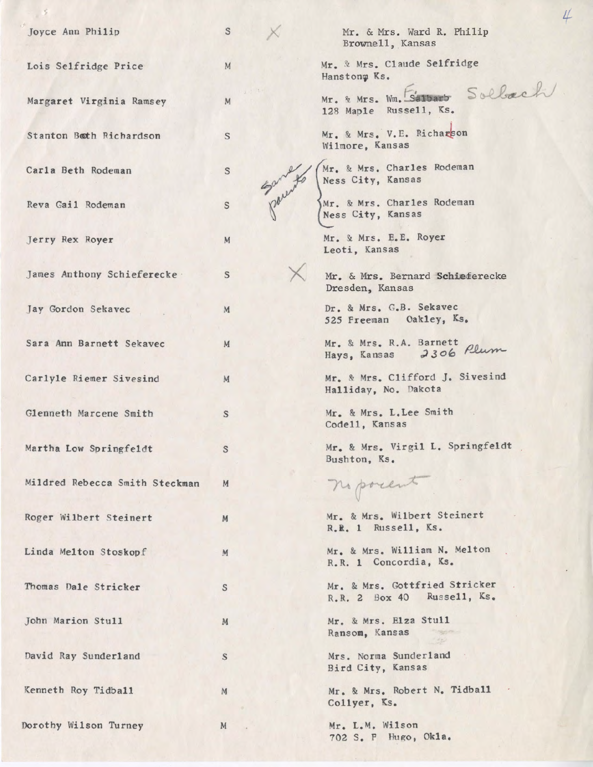| Joyce Ann Philip               | $\mathbb S$ | Mr. & Mrs. Ward R. Philip<br>Brownell, Kansas               |
|--------------------------------|-------------|-------------------------------------------------------------|
| Lois Selfridge Price           | M           | Mr. & Mrs. Claude Selfridge<br>Hanstonm Ks.                 |
| Margaret Virginia Ramsey       | M           | Sollach<br>Mr. & Mrs. Wm. Salbarb<br>128 Maple Russell, Ks. |
| Stanton Both Richardson        | S           | Mr. & Mrs. V.E. Richarson<br>Wilmore, Kansas                |
| Carla Beth Rodeman             | S           | Mr. & Mrs. Charles Rodeman<br>Ness City, Kansas             |
| Reva Gail Rodeman              | $\mathbb S$ | Mr. & Mrs. Charles Rodeman<br>Ness City, Kansas             |
| Jerry Rex Royer                | M           | Mr. & Mrs. E.E. Royer<br>Leoti, Kansas                      |
| James Anthony Schieferecke     | S           | Mr. & Mrs. Bernard Schieferecke<br>Dresden, Kansas          |
| Jay Gordon Sekavec             | M           | Dr. & Mrs. G.B. Sekavec<br>525 Freeman Oakley, Ks.          |
| Sara Ann Barnett Sekavec       | M           | Mr. & Mrs. R.A. Barnett<br>2306 Plum<br>Hays, Kansas        |
| Carlyle Riemer Sivesind        | M           | Mr. & Mrs. Clifford J. Sivesind<br>Halliday, No. Dakota     |
| Glenneth Marcene Smith         | S           | Mr. & Mrs. L. Lee Smith<br>Code11, Kansas                   |
| Martha Low Springfeldt         | S           | Mr. & Mrs. Virgil L. Springfeldt<br>Bushton, Ks.            |
| Mildred Rebecca Smith Steckman | M           | no posent                                                   |
| Roger Wilbert Steinert         | M           | Mr. & Mrs. Wilbert Steinert<br>R.R. 1 Russell, Ks.          |
| Linda Melton Stoskopf          | M           | Mr. & Mrs. William N. Melton<br>R.R. 1 Concordia, Ks.       |
| Thomas Dale Stricker           | S           | Mr. & Mrs. Gottfried Stricker<br>R.R. 2 Box 40 Russell, Ks. |
| John Marion Stull              | M           | Mr. & Mrs. Elza Stull<br>Ransom, Kansas                     |
| David Ray Sunderland           | $\mathbf S$ | Mrs. Norma Sunderland<br>Bird City, Kansas                  |
| Kenneth Roy Tidball            | ${\cal M}$  | Mr. & Mrs. Robert N. Tidball<br>Collyer, Ks.                |
| Dorothy Wilson Turney          | M           | Mr. L.M. Wilson<br>702 S. F Hugo, Okla.                     |

 $\overline{\psi}$